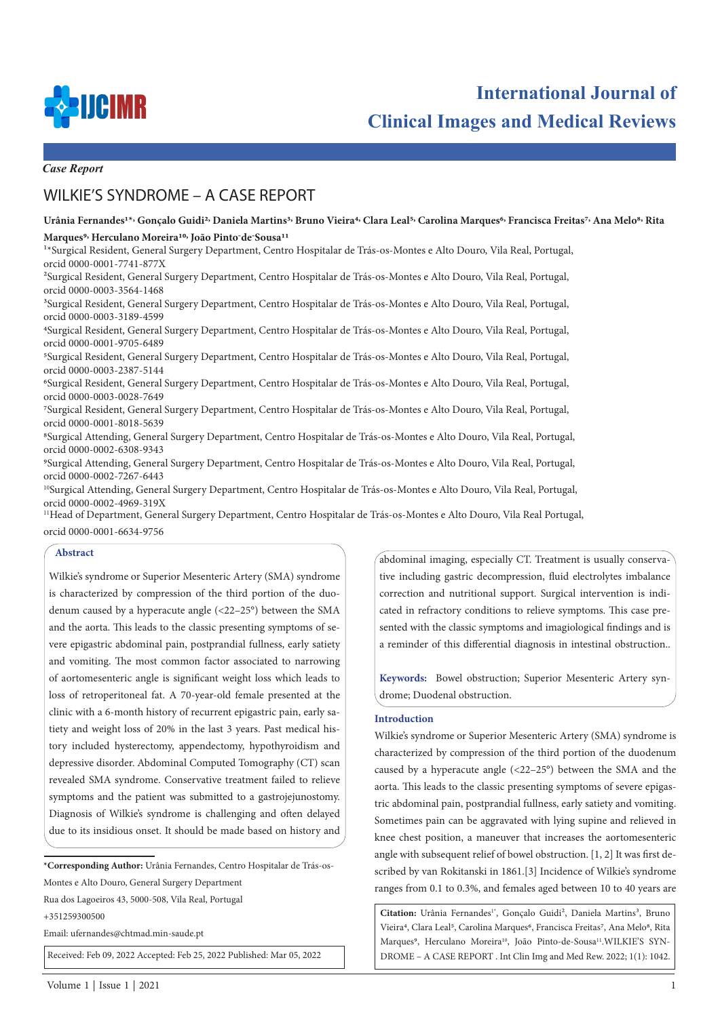

**International Journal of Clinical Images and Medical Reviews**

*Case Report*

# WILKIE'S SYNDROME – A CASE REPORT

## Urânia Fernandes<sup>1\*,</sup> Goncalo Guidi<sup>2,</sup> Daniela Martins<sup>3,</sup> Bruno Vieira<sup>4,</sup> Clara Leal<sup>5,</sup> Carolina Marques<sup>6,</sup> Francisca Freitas<sup>7,</sup> Ana Melo<sup>8,</sup> Rita **Marques9, Herculano Moreira10, João Pinto-de-Sousa11**

1\*Surgical Resident, General Surgery Department, Centro Hospitalar de Trás-os-Montes e Alto Douro, Vila Real, Portugal, orcid 0000-0001-7741-877X

2Surgical Resident, General Surgery Department, Centro Hospitalar de Trás-os-Montes e Alto Douro, Vila Real, Portugal, orcid 0000-0003-3564-1468

3Surgical Resident, General Surgery Department, Centro Hospitalar de Trás-os-Montes e Alto Douro, Vila Real, Portugal, orcid 0000-0003-3189-4599

4Surgical Resident, General Surgery Department, Centro Hospitalar de Trás-os-Montes e Alto Douro, Vila Real, Portugal, orcid 0000-0001-9705-6489

5Surgical Resident, General Surgery Department, Centro Hospitalar de Trás-os-Montes e Alto Douro, Vila Real, Portugal, orcid 0000-0003-2387-5144

6Surgical Resident, General Surgery Department, Centro Hospitalar de Trás-os-Montes e Alto Douro, Vila Real, Portugal, orcid 0000-0003-0028-7649

7Surgical Resident, General Surgery Department, Centro Hospitalar de Trás-os-Montes e Alto Douro, Vila Real, Portugal, orcid 0000-0001-8018-5639

8Surgical Attending, General Surgery Department, Centro Hospitalar de Trás-os-Montes e Alto Douro, Vila Real, Portugal, orcid 0000-0002-6308-9343

9Surgical Attending, General Surgery Department, Centro Hospitalar de Trás-os-Montes e Alto Douro, Vila Real, Portugal, orcid 0000-0002-7267-6443

10Surgical Attending, General Surgery Department, Centro Hospitalar de Trás-os-Montes e Alto Douro, Vila Real, Portugal, orcid 0000-0002-4969-319X

11Head of Department, General Surgery Department, Centro Hospitalar de Trás-os-Montes e Alto Douro, Vila Real Portugal,

orcid 0000-0001-6634-9756

## **Abstract**

Wilkie's syndrome or Superior Mesenteric Artery (SMA) syndrome is characterized by compression of the third portion of the duodenum caused by a hyperacute angle (<22–25°) between the SMA and the aorta. This leads to the classic presenting symptoms of severe epigastric abdominal pain, postprandial fullness, early satiety and vomiting. The most common factor associated to narrowing of aortomesenteric angle is significant weight loss which leads to loss of retroperitoneal fat. A 70-year-old female presented at the clinic with a 6-month history of recurrent epigastric pain, early satiety and weight loss of 20% in the last 3 years. Past medical history included hysterectomy, appendectomy, hypothyroidism and depressive disorder. Abdominal Computed Tomography (CT) scan revealed SMA syndrome. Conservative treatment failed to relieve symptoms and the patient was submitted to a gastrojejunostomy. Diagnosis of Wilkie's syndrome is challenging and often delayed due to its insidious onset. It should be made based on history and

**\*Corresponding Author:** Urânia Fernandes, Centro Hospitalar de Trás-os-Montes e Alto Douro, General Surgery Department

Rua dos Lagoeiros 43, 5000-508, Vila Real, Portugal

+351259300500

Email: ufernandes@chtmad.min-saude.pt

Received: Feb 09, 2022 Accepted: Feb 25, 2022 Published: Mar 05, 2022

abdominal imaging, especially CT. Treatment is usually conservative including gastric decompression, fluid electrolytes imbalance correction and nutritional support. Surgical intervention is indicated in refractory conditions to relieve symptoms. This case presented with the classic symptoms and imagiological findings and is a reminder of this differential diagnosis in intestinal obstruction..

**Keywords:** Bowel obstruction; Superior Mesenteric Artery syndrome; Duodenal obstruction.

### **Introduction**

Wilkie's syndrome or Superior Mesenteric Artery (SMA) syndrome is characterized by compression of the third portion of the duodenum caused by a hyperacute angle (<22–25°) between the SMA and the aorta. This leads to the classic presenting symptoms of severe epigastric abdominal pain, postprandial fullness, early satiety and vomiting. Sometimes pain can be aggravated with lying supine and relieved in knee chest position, a maneuver that increases the aortomesenteric angle with subsequent relief of bowel obstruction. [1, 2] It was first described by van Rokitanski in 1861.[3] Incidence of Wilkie's syndrome ranges from 0.1 to 0.3%, and females aged between 10 to 40 years are

Citation: Urânia Fernandes<sup>1\*</sup>, Goncalo Guidi<sup>2</sup>, Daniela Martins<sup>3</sup>, Bruno Vieira<sup>4</sup>, Clara Leal<sup>5</sup>, Carolina Marques<sup>6</sup>, Francisca Freitas<sup>7</sup>, Ana Melo<sup>8</sup>, Rita Marques<sup>9</sup>, Herculano Moreira<sup>10</sup>, João Pinto-de-Sousa<sup>11</sup>.WILKIE'S SYN-DROME – A CASE REPORT . Int Clin Img and Med Rew. 2022; 1(1): 1042.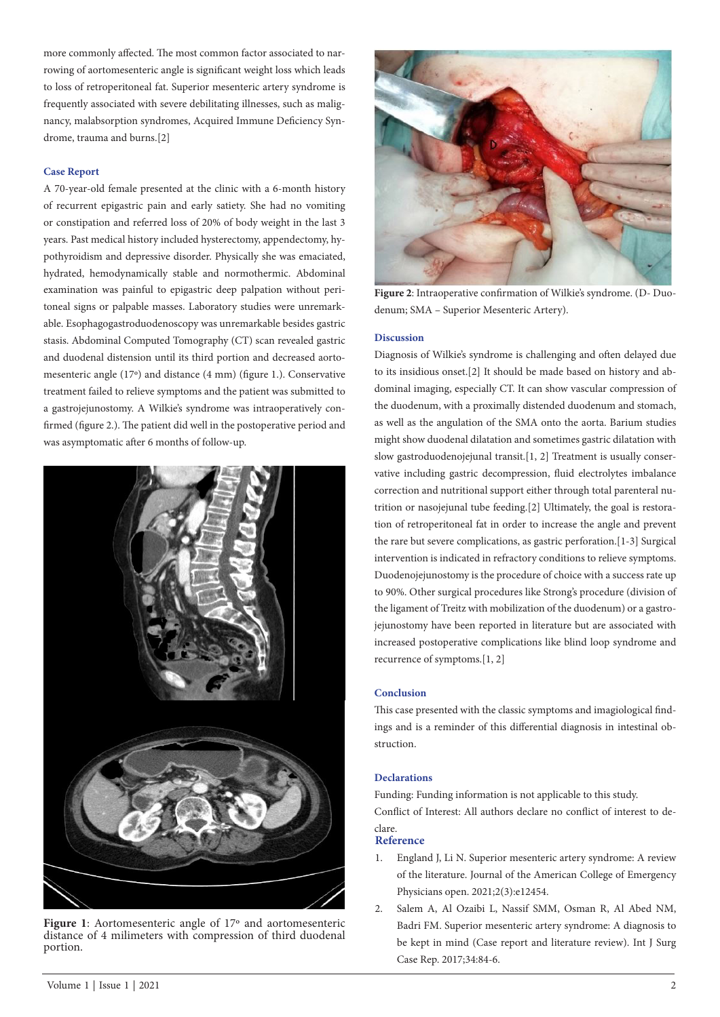more commonly affected. The most common factor associated to narrowing of aortomesenteric angle is significant weight loss which leads to loss of retroperitoneal fat. Superior mesenteric artery syndrome is frequently associated with severe debilitating illnesses, such as malignancy, malabsorption syndromes, Acquired Immune Deficiency Syndrome, trauma and burns.[2]

#### **Case Report**

A 70-year-old female presented at the clinic with a 6-month history of recurrent epigastric pain and early satiety. She had no vomiting or constipation and referred loss of 20% of body weight in the last 3 years. Past medical history included hysterectomy, appendectomy, hypothyroidism and depressive disorder. Physically she was emaciated, hydrated, hemodynamically stable and normothermic. Abdominal examination was painful to epigastric deep palpation without peritoneal signs or palpable masses. Laboratory studies were unremarkable. Esophagogastroduodenoscopy was unremarkable besides gastric stasis. Abdominal Computed Tomography (CT) scan revealed gastric and duodenal distension until its third portion and decreased aortomesenteric angle (17º) and distance (4 mm) (figure 1.). Conservative treatment failed to relieve symptoms and the patient was submitted to a gastrojejunostomy. A Wilkie's syndrome was intraoperatively confirmed (figure 2.). The patient did well in the postoperative period and was asymptomatic after 6 months of follow-up.



**Figure 1**: Aortomesenteric angle of 17º and aortomesenteric distance of 4 milimeters with compression of third duodenal portion.



**Figure 2**: Intraoperative confirmation of Wilkie's syndrome. (D- Duodenum; SMA – Superior Mesenteric Artery).

#### **Discussion**

Diagnosis of Wilkie's syndrome is challenging and often delayed due to its insidious onset.[2] It should be made based on history and abdominal imaging, especially CT. It can show vascular compression of the duodenum, with a proximally distended duodenum and stomach, as well as the angulation of the SMA onto the aorta. Barium studies might show duodenal dilatation and sometimes gastric dilatation with slow gastroduodenojejunal transit.[1, 2] Treatment is usually conservative including gastric decompression, fluid electrolytes imbalance correction and nutritional support either through total parenteral nutrition or nasojejunal tube feeding.[2] Ultimately, the goal is restoration of retroperitoneal fat in order to increase the angle and prevent the rare but severe complications, as gastric perforation.[1-3] Surgical intervention is indicated in refractory conditions to relieve symptoms. Duodenojejunostomy is the procedure of choice with a success rate up to 90%. Other surgical procedures like Strong's procedure (division of the ligament of Treitz with mobilization of the duodenum) or a gastrojejunostomy have been reported in literature but are associated with increased postoperative complications like blind loop syndrome and recurrence of symptoms.[1, 2]

## **Conclusion**

This case presented with the classic symptoms and imagiological findings and is a reminder of this differential diagnosis in intestinal obstruction.

#### **Declarations**

Funding: Funding information is not applicable to this study. Conflict of Interest: All authors declare no conflict of interest to declare.

### **Reference**

- 1. England J, Li N. Superior mesenteric artery syndrome: A review of the literature. Journal of the American College of Emergency Physicians open. 2021;2(3):e12454.
- 2. Salem A, Al Ozaibi L, Nassif SMM, Osman R, Al Abed NM, Badri FM. Superior mesenteric artery syndrome: A diagnosis to be kept in mind (Case report and literature review). Int J Surg Case Rep. 2017;34:84-6.